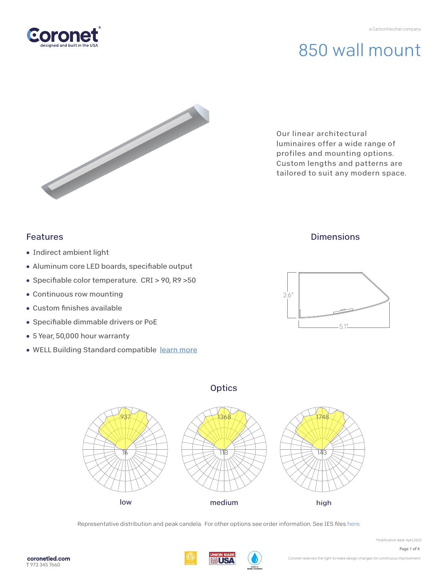

Our linear architectural luminaires offer a wide range of profiles and mounting options. Custom lengths and patterns are tailored to suit any modern space.

### Features

- Indirect ambient light
- Aluminum core LED boards, specifiable output
- Specifiable color temperature. CRI > 90, R9 > 50
- Continuous row mounting
- $\bullet$  Custom finishes available
- Specifiable dimmable drivers or PoE
- 5 Year, 50,000 hour warranty
- WELL Building Standard compatibl[e learn more](https://coronetled.com/well-v2-standard/)

### **Dimensions**





**Optics** 

Representative distribution and peak candela. For other options see order information. See IES fil[es here.](https://coronetled.com/downloads/)

HIS I

Page 1 of 4

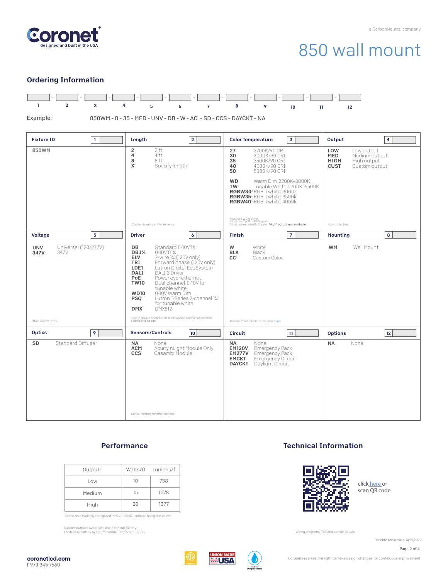

#### Ordering Information



#### **Performance**

| Output <sup>1</sup> |    | Watts/ft Lumens/ft |
|---------------------|----|--------------------|
| Low                 | 10 | 738                |
| Medium              | 15 | 1078               |
| High                | 20 | 1377               |

'Based on a typically configured 90 CRI, 3500K luminaire using one driver.

Custom outputs available. Please consult factory. For 4000K multiply by 1.05; for 3000K 0.96; for 2700K, 0.92.

#### Technical Information



click [here or](https://coronetled.com/warranty-technical-info/) scan QR code

Wiring diagrams, PoE and sensor details

Modification date: April,2022

Page 2 of 4



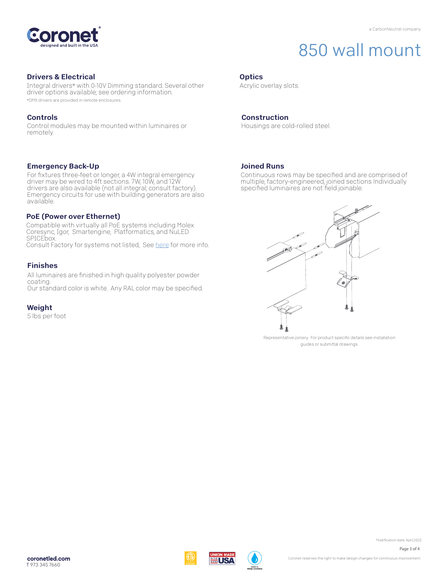

#### Drivers & Electrical

Integral drivers\* with 0-10V Dimming standard. Several other driver options available; see ordering information. \*DMX drivers are provided in remote enclosures.

#### Controls

Control modules may be mounted within luminaires or remotely.

#### Emergency Back-Up

For fixtures three-feet or longer, a 4W integral emergency driver may be wired to 4ft sections. 7W, 10W, and 12W drivers are also available (not all integral; consult factory). Emergency circuits for use with building generators are also available.

#### PoE (Power over Ethernet)

Compatible with virtually all PoE systems including Molex Coresync, Igor, Smartengine, Platformatics, and NuLED SPICEbox. Consult Factory for systems not listed, See [here fo](https://coronetled.com/warranty-technical-info/)r more info.

#### Finishes

All luminaires are finished in high quality polyester powder coating. Our standard color is white. Any RAL color may be specified.

#### Weight

5 lbs per foot

#### **Optics**

Acrylic overlay slots.

#### Construction

Housings are cold-rolled steel.

#### Joined Runs

WI ISA

Continuous rows may be specified and are comprised of multiple, factory-engineered, joined sections. Individually specified luminaires are not field joinable.



Representative joinery. For product specific details see installation guides or submittal drawings.

Modification date: April,2022